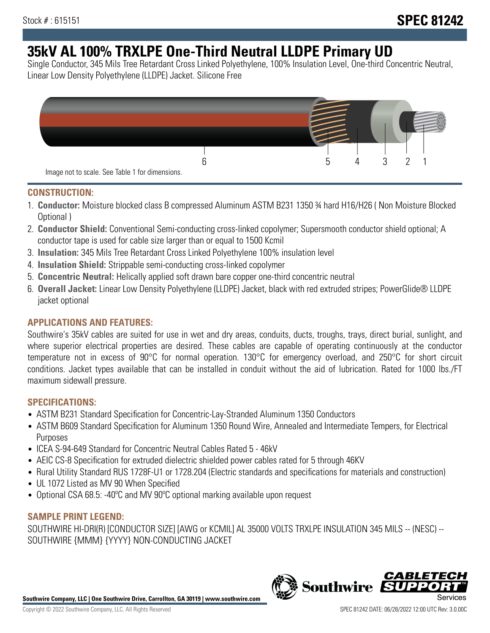# **35kV AL 100% TRXLPE One-Third Neutral LLDPE Primary UD**

Single Conductor, 345 Mils Tree Retardant Cross Linked Polyethylene, 100% Insulation Level, One-third Concentric Neutral, Linear Low Density Polyethylene (LLDPE) Jacket. Silicone Free



### **CONSTRUCTION:**

- 1. **Conductor:** Moisture blocked class B compressed Aluminum ASTM B231 1350 ¾ hard H16/H26 ( Non Moisture Blocked Optional )
- 2. **Conductor Shield:** Conventional Semi-conducting cross-linked copolymer; Supersmooth conductor shield optional; A conductor tape is used for cable size larger than or equal to 1500 Kcmil
- 3. **Insulation:** 345 Mils Tree Retardant Cross Linked Polyethylene 100% insulation level
- 4. **Insulation Shield:** Strippable semi-conducting cross-linked copolymer
- 5. **Concentric Neutral:** Helically applied soft drawn bare copper one-third concentric neutral
- 6. **Overall Jacket:** Linear Low Density Polyethylene (LLDPE) Jacket, black with red extruded stripes; PowerGlide® LLDPE jacket optional

## **APPLICATIONS AND FEATURES:**

Southwire's 35kV cables are suited for use in wet and dry areas, conduits, ducts, troughs, trays, direct burial, sunlight, and where superior electrical properties are desired. These cables are capable of operating continuously at the conductor temperature not in excess of 90°C for normal operation. 130°C for emergency overload, and 250°C for short circuit conditions. Jacket types available that can be installed in conduit without the aid of lubrication. Rated for 1000 lbs./FT maximum sidewall pressure.

## **SPECIFICATIONS:**

- ASTM B231 Standard Specification for Concentric-Lay-Stranded Aluminum 1350 Conductors
- ASTM B609 Standard Specification for Aluminum 1350 Round Wire, Annealed and Intermediate Tempers, for Electrical Purposes
- ICEA S-94-649 Standard for Concentric Neutral Cables Rated 5 46kV
- AEIC CS-8 Specification for extruded dielectric shielded power cables rated for 5 through 46KV
- Rural Utility Standard RUS 1728F-U1 or 1728.204 (Electric standards and specifications for materials and construction)
- UL 1072 Listed as MV 90 When Specified
- Optional CSA 68.5: -40ºC and MV 90ºC optional marking available upon request

#### **SAMPLE PRINT LEGEND:**

SOUTHWIRE HI-DRI(R) [CONDUCTOR SIZE] [AWG or KCMIL] AL 35000 VOLTS TRXLPE INSULATION 345 MILS -- (NESC) -- SOUTHWIRE {MMM} {YYYY} NON-CONDUCTING JACKET

**Southwire Company, LLC | One Southwire Drive, Carrollton, GA 30119 | www.southwire.com**

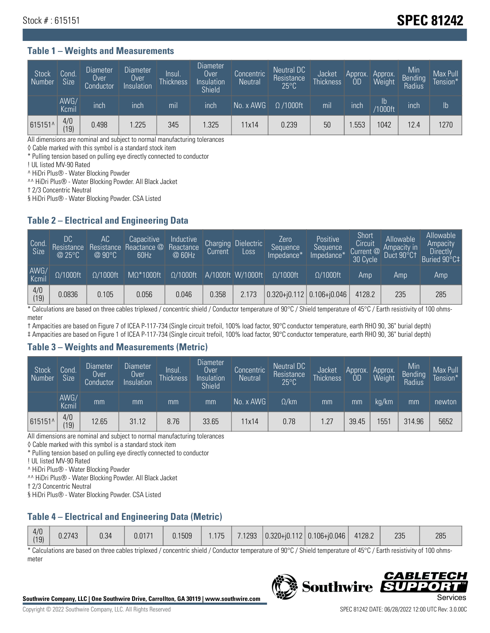## Stock # : 615151 **SPEC 81242**

#### **Table 1 – Weights and Measurements**

| <b>Stock</b><br>Number | Cond.<br><b>Size</b> | <b>Diameter</b><br>Over<br>Conductor | Diameter<br>Over<br>Insulation | Insul.<br><b>Thickness</b> | <b>Diameter</b><br>Over<br>Insulation<br><b>Shield</b> | Concentric<br><b>Neutral</b> | Neutral DC<br>Resistance<br>$25^{\circ}$ C | Jacket<br><b>Thickness</b> | Approx.<br>0D | Approx.<br>Weight    | Min<br>Bending <sup>1</sup><br>Radius | Max Pull<br>Tension* |
|------------------------|----------------------|--------------------------------------|--------------------------------|----------------------------|--------------------------------------------------------|------------------------------|--------------------------------------------|----------------------------|---------------|----------------------|---------------------------------------|----------------------|
|                        | AWG/<br>Kcmil        | inch                                 | inch                           | m <sub>l</sub>             | inch                                                   | No. x AWG                    | $\Omega$ /1000ft                           | mil                        | inch          | Ib<br><b>Y1000ft</b> | inch                                  | Ib                   |
| 615151^                | 4/0<br>(19)          | 0.498                                | 1.225                          | 345                        | .325                                                   | 11x14                        | 0.239                                      | 50                         | .553          | 1042                 | 12.4                                  | 1270                 |

All dimensions are nominal and subject to normal manufacturing tolerances

◊ Cable marked with this symbol is a standard stock item

\* Pulling tension based on pulling eye directly connected to conductor

! UL listed MV-90 Rated

^ HiDri Plus® - Water Blocking Powder

^^ HiDri Plus® - Water Blocking Powder. All Black Jacket

† 2/3 Concentric Neutral

§ HiDri Plus® - Water Blocking Powder. CSA Listed

#### **Table 2 – Electrical and Engineering Data**

| Cond.<br>Size         | 'DC.<br>Resistance<br>@25°C | АC<br>Resistance<br>$\varpi$ 90°C | Capacitive<br>Reactance @<br>60Hz | Inductive<br>Reactance<br>@ 60Hz | Charging<br>Current | Dielectric<br>Loss | Zero<br>Sequence<br>Impedance* | Positive<br>Sequence<br>Impedance <sup>+</sup> | Short<br>Circuit<br>Current <sup>@</sup><br>30 Cycle | Allowable<br>Ampacity in<br>Duct 90°C1 | Allowable<br>Ampacity<br>Directly<br>Buried 90°C‡ |
|-----------------------|-----------------------------|-----------------------------------|-----------------------------------|----------------------------------|---------------------|--------------------|--------------------------------|------------------------------------------------|------------------------------------------------------|----------------------------------------|---------------------------------------------------|
| AWG/<br>Kcmil         | $\Omega/1000$ ft            | $\Omega/1000$ ft                  | $M\Omega^*1000$ ft                | $\Omega/1000$ ft                 |                     | A/1000ft W/1000ft  | $\Omega/1000$ ft               | $\Omega$ /1000ft                               | Amp                                                  | Amp                                    | Amp                                               |
| $\frac{4}{0}$<br>(19) | 0.0836                      | 0.105                             | 0.056                             | 0.046                            | 0.358               | 2.173              |                                | $0.320 + 0.112$ 0.106+0.046                    | 4128.2                                               | 235                                    | 285                                               |

\* Calculations are based on three cables triplexed / concentric shield / Conductor temperature of 90°C / Shield temperature of 45°C / Earth resistivity of 100 ohmsmeter

† Ampacities are based on Figure 7 of ICEA P-117-734 (Single circuit trefoil, 100% load factor, 90°C conductor temperature, earth RHO 90, 36" burial depth)

‡ Ampacities are based on Figure 1 of ICEA P-117-734 (Single circuit trefoil, 100% load factor, 90°C conductor temperature, earth RHO 90, 36" burial depth)

#### **Table 3 – Weights and Measurements (Metric)**

| Stock<br>Number | Cond.<br>Size <sup>1</sup> | Diameter<br>Over<br>Conductor | <b>Diameter</b><br>Over<br>Insulation | Insul.<br><b>Thickness</b> | <b>Diameter</b><br>Over<br>Insulation<br><b>Shield</b> | Concentric<br>Neutral | Neutral DC<br>Resistance<br>$25^{\circ}$ C | Jacket<br><b>Thickness</b> | Approx.<br><b>OD</b> | Approx.<br>Weight | Min<br>Bending<br>Radius | Max Pull<br>Tension* |
|-----------------|----------------------------|-------------------------------|---------------------------------------|----------------------------|--------------------------------------------------------|-----------------------|--------------------------------------------|----------------------------|----------------------|-------------------|--------------------------|----------------------|
|                 | AWG/<br>Kcmil              | mm                            | mm                                    | mm                         | mm                                                     | No. x AWG             | $\Omega$ /km                               | mm                         | mm                   | ka/km             | mm                       | newton               |
| 615151^         | 4/0<br>(19)                | 12.65                         | 31.12                                 | 8.76                       | 33.65                                                  | 11x14                 | 0.78                                       | 1.27                       | 39.45                | 1551              | 314.96                   | 5652                 |

All dimensions are nominal and subject to normal manufacturing tolerances

◊ Cable marked with this symbol is a standard stock item

\* Pulling tension based on pulling eye directly connected to conductor

! UL listed MV-90 Rated

^ HiDri Plus® - Water Blocking Powder

^^ HiDri Plus® - Water Blocking Powder. All Black Jacket

† 2/3 Concentric Neutral

§ HiDri Plus® - Water Blocking Powder. CSA Listed

## **Table 4 – Electrical and Engineering Data (Metric)**

|  | 4/0<br>(19) | J.2743 | 0.34 | 0.0171 | 0.1509 | .175 <sub>1</sub> |  |  | $7.1293$ $ 0.320 + i0.112 0.106 + i0.046 $ | 4128.2 | 235 | 285 |
|--|-------------|--------|------|--------|--------|-------------------|--|--|--------------------------------------------|--------|-----|-----|
|--|-------------|--------|------|--------|--------|-------------------|--|--|--------------------------------------------|--------|-----|-----|

\* Calculations are based on three cables triplexed / concentric shield / Conductor temperature of 90°C / Shield temperature of 45°C / Earth resistivity of 100 ohmsmeter



**Southwire** 

**CABLE**